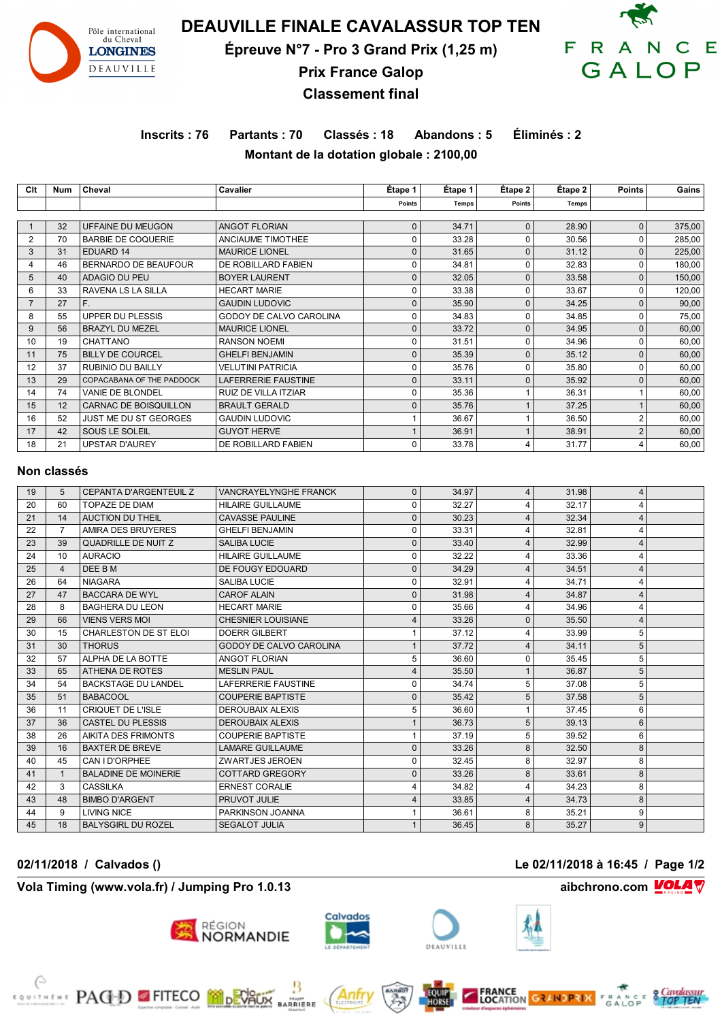

# **DEAUVILLE FINALE CAVALASSUR TOP TEN**

**Épreuve N°7 - Pro 3 Grand Prix (1,25 m)**



# **Prix France Galop Classement final**

# **Inscrits : 76 Partants : 70 Classés : 18 Abandons : 5 Éliminés : 2 Montant de la dotation globale : 2100,00**

| Clt | Num | Cheval                      | Cavalier                 | Étape 1     | Étape 1      | Étape 2  | Étape 2 | <b>Points</b> | Gains  |
|-----|-----|-----------------------------|--------------------------|-------------|--------------|----------|---------|---------------|--------|
|     |     |                             |                          | Points      | <b>Temps</b> | Points   | Temps   |               |        |
|     |     |                             |                          |             |              |          |         |               |        |
|     | 32  | UFFAINE DU MEUGON           | <b>ANGOT FLORIAN</b>     | $\mathbf 0$ | 34.71        | $\Omega$ | 28.90   | 0             | 375,00 |
| 2   | 70  | <b>BARBIE DE COQUERIE</b>   | ANCIAUME TIMOTHEE        | 0           | 33.28        | ŋ        | 30.56   | 0             | 285,00 |
| 3   | 31  | EDUARD 14                   | <b>MAURICE LIONEL</b>    | $\Omega$    | 31.65        | $\Omega$ | 31.12   | 0             | 225,00 |
|     | 46  | <b>BERNARDO DE BEAUFOUR</b> | DE ROBILLARD FABIEN      | $\Omega$    | 34.81        | ŋ        | 32.83   | 0             | 180,00 |
| 5   | 40  | ADAGIO DU PEU               | <b>BOYER LAURENT</b>     | $\Omega$    | 32.05        | $\Omega$ | 33.58   | 0             | 150,00 |
| 6   | 33  | RAVENA LS LA SILLA          | <b>HECART MARIE</b>      | $\Omega$    | 33.38        | ŋ        | 33.67   | 0             | 120,00 |
|     | 27  | F.                          | <b>GAUDIN LUDOVIC</b>    | $\Omega$    | 35.90        | $\Omega$ | 34.25   | $\Omega$      | 90,00  |
| 8   | 55  | UPPER DU PLESSIS            | GODOY DE CALVO CAROLINA  | $\Omega$    | 34.83        | ŋ        | 34.85   | 0             | 75,00  |
| 9   | 56  | <b>BRAZYL DU MEZEL</b>      | <b>MAURICE LIONEL</b>    | $\Omega$    | 33.72        | O        | 34.95   | 0             | 60,00  |
| 10  | 19  | CHATTANO                    | <b>RANSON NOEMI</b>      | $\Omega$    | 31.51        | ŋ        | 34.96   | 0             | 60,00  |
| 11  | 75  | <b>BILLY DE COURCEL</b>     | <b>GHELFI BENJAMIN</b>   | $\Omega$    | 35.39        | $\Omega$ | 35.12   | $\Omega$      | 60,00  |
| 12  | 37  | <b>RUBINIO DU BAILLY</b>    | <b>VELUTINI PATRICIA</b> | $\Omega$    | 35.76        | ŋ        | 35.80   | 0             | 60,00  |
| 13  | 29  | COPACABANA OF THE PADDOCK   | LAFERRERIE FAUSTINE      | $\mathbf 0$ | 33.11        | O        | 35.92   | 0             | 60,00  |
| 14  | 74  | VANIE DE BLONDEL            | RUIZ DE VILLA ITZIAR     | $\Omega$    | 35.36        |          | 36.31   |               | 60,00  |
| 15  | 12  | CARNAC DE BOISQUILLON       | <b>BRAULT GERALD</b>     | $\Omega$    | 35.76        |          | 37.25   |               | 60,00  |
| 16  | 52  | JUST ME DU ST GEORGES       | <b>GAUDIN LUDOVIC</b>    |             | 36.67        |          | 36.50   | 2             | 60,00  |
| 17  | 42  | SOUS LE SOLEIL              | <b>GUYOT HERVE</b>       |             | 36.91        |          | 38.91   | 2             | 60,00  |
| 18  | 21  | <b>UPSTAR D'AUREY</b>       | DE ROBILLARD FABIEN      | $\Omega$    | 33.78        | 4        | 31.77   | 4             | 60,00  |

### **Non classés**

| 19 | 5            | <b>CEPANTA D'ARGENTEUIL Z</b> | <b>VANCRAYELYNGHE FRANCK</b>   | $\Omega$ | 34.97 | $\overline{4}$ | 31.98 | 4 |  |
|----|--------------|-------------------------------|--------------------------------|----------|-------|----------------|-------|---|--|
| 20 | 60           | <b>TOPAZE DE DIAM</b>         | <b>HILAIRE GUILLAUME</b>       | n        | 32.27 | 4              | 32.17 | 4 |  |
| 21 | 14           | AUCTION DU THEIL              | <b>CAVASSE PAULINE</b>         | 0        | 30.23 | $\overline{4}$ | 32.34 | 4 |  |
| 22 |              | AMIRA DES BRUYERES            | <b>GHELFI BENJAMIN</b>         | 0        | 33.31 |                | 32.81 | 4 |  |
| 23 | 39           | QUADRILLE DE NUIT Z           | <b>SALIBA LUCIE</b>            | 0        | 33.40 | 4              | 32.99 | 4 |  |
| 24 | 10           | <b>AURACIO</b>                | <b>HILAIRE GUILLAUME</b>       |          | 32.22 |                | 33.36 | 4 |  |
| 25 | 4            | DEE B M                       | DE FOUGY EDOUARD               | ŋ        | 34.29 |                | 34.51 | 4 |  |
| 26 | 64           | <b>NIAGARA</b>                | <b>SALIBA LUCIE</b>            | U        | 32.91 |                | 34.71 | 4 |  |
| 27 | 47           | <b>BACCARA DE WYL</b>         | <b>CAROF ALAIN</b>             |          | 31.98 |                | 34.87 | 4 |  |
| 28 | 8            | <b>BAGHERA DU LEON</b>        | <b>HECART MARIE</b>            |          | 35.66 | 4              | 34.96 | 4 |  |
| 29 | 66           | <b>VIENS VERS MOI</b>         | <b>CHESNIER LOUISIANE</b>      |          | 33.26 | $\Omega$       | 35.50 | 4 |  |
| 30 | 15           | <b>CHARLESTON DE ST ELOI</b>  | <b>DOERR GILBERT</b>           |          | 37.12 |                | 33.99 | 5 |  |
| 31 | 30           | <b>THORUS</b>                 | <b>GODOY DE CALVO CAROLINA</b> |          | 37.72 | $\overline{4}$ | 34.11 | 5 |  |
| 32 | 57           | ALPHA DE LA BOTTE             | <b>ANGOT FLORIAN</b>           | 5        | 36.60 | $\Omega$       | 35.45 | 5 |  |
| 33 | 65           | ATHENA DE ROTES               | <b>MESLIN PAUL</b>             |          | 35.50 |                | 36.87 | 5 |  |
| 34 | 54           | <b>BACKSTAGE DU LANDEL</b>    | <b>LAFERRERIE FAUSTINE</b>     | n        | 34.74 | 5              | 37.08 | 5 |  |
| 35 | 51           | <b>BABACOOL</b>               | <b>COUPERIE BAPTISTE</b>       | 0        | 35.42 | 5              | 37.58 | 5 |  |
| 36 | 11           | CRIQUET DE L'ISLE             | <b>DEROUBAIX ALEXIS</b>        |          | 36.60 |                | 37.45 | 6 |  |
| 37 | 36           | <b>CASTEL DU PLESSIS</b>      | <b>DEROUBAIX ALEXIS</b>        |          | 36.73 | 5              | 39.13 | 6 |  |
| 38 | 26           | AIKITA DES FRIMONTS           | <b>COUPERIE BAPTISTE</b>       |          | 37.19 | 5              | 39.52 | 6 |  |
| 39 | 16           | <b>BAXTER DE BREVE</b>        | <b>LAMARE GUILLAUME</b>        | $\Omega$ | 33.26 | 8              | 32.50 | 8 |  |
| 40 | 45           | CAN I D'ORPHEE                | <b>ZWARTJES JEROEN</b>         | $\Omega$ | 32.45 | 8              | 32.97 | 8 |  |
| 41 | $\mathbf{1}$ | <b>BALADINE DE MOINERIE</b>   | <b>COTTARD GREGORY</b>         |          | 33.26 | 8              | 33.61 | 8 |  |
| 42 | 3            | CASSILKA                      | <b>ERNEST CORALIE</b>          |          | 34.82 |                | 34.23 | 8 |  |
| 43 | 48           | <b>BIMBO D'ARGENT</b>         | PRUVOT JULIE                   |          | 33.85 | $\Delta$       | 34.73 | 8 |  |
| 44 | 9            | <b>LIVING NICE</b>            | PARKINSON JOANNA               |          | 36.61 | 8              | 35.21 | 9 |  |
| 45 | 18           | <b>BALYSGIRL DU ROZEL</b>     | <b>SEGALOT JULIA</b>           |          | 36.45 | 8              | 35.27 | 9 |  |

## **Vola Timing (www.vola.fr) / Jumping Pro 1.0.13 aibchrono.com VOLA**

**EXAMPLE PAGED FITECO MODEVALIX** 





Antr

**MIGHT**<br>ARRIERE